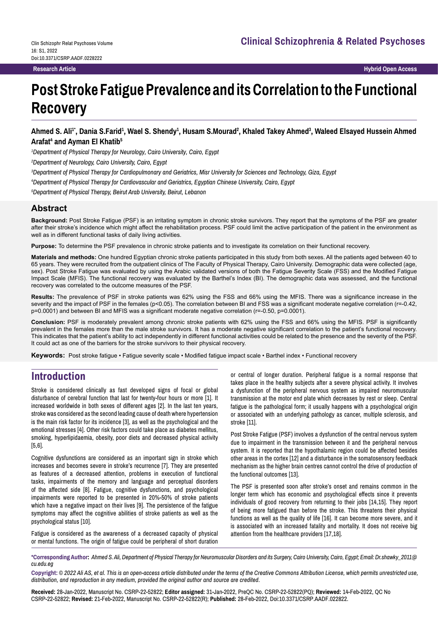**Research Article Hybrid Open Access**

# **Post Stroke Fatigue Prevalence and its Correlation to the Functional Recovery**

Ahmed S. Ali<sup>1</sup>', Dania S.Farid<sup>1</sup>, Wael S. Shendy<sup>1</sup>, Husam S.Mourad<sup>2</sup>, Khaled Takey Ahmed<sup>3</sup>, Waleed Elsayed Hussein Ahmed **Arafat4 and Ayman El Khatib5**

*1 Department of Physical Therapy for Neurology, Cairo University, Cairo, Egypt*

*2 Department of Neurology, Cairo University, Cairo, Egypt*

*3 Department of Physical Therapy for Cardiopulmonary and Geriatrics, Misr University for Sciences and Technology, Giza, Egypt*

*4 Department of Physical Therapy for Cardiovascular and Geriatrics, Egyptian Chinese University, Cairo, Egypt*

*5 Department of Physical Therapy, Beirut Arab University, Beirut, Lebanon*

#### **Abstract**

**Background:** Post Stroke Fatigue (PSF) is an irritating symptom in chronic stroke survivors. They report that the symptoms of the PSF are greater after their stroke's incidence which might affect the rehabilitation process. PSF could limit the active participation of the patient in the environment as well as in different functional tasks of daily living activities.

**Purpose:** To determine the PSF prevalence in chronic stroke patients and to investigate its correlation on their functional recovery.

**Materials and methods:** One hundred Egyptian chronic stroke patients participated in this study from both sexes. All the patients aged between 40 to 65 years. They were recruited from the outpatient clinics of The Faculty of Physical Therapy, Cairo University. Demographic data were collected (age, sex). Post Stroke Fatigue was evaluated by using the Arabic validated versions of both the Fatigue Severity Scale (FSS) and the Modified Fatigue Impact Scale (MFIS). The functional recovery was evaluated by the Barthel's Index (BI). The demographic data was assessed, and the functional recovery was correlated to the outcome measures of the PSF.

**Results:** The prevalence of PSF in stroke patients was 62% using the FSS and 66% using the MFIS. There was a significance increase in the severity and the impact of PSF in the females (p<0.05). The correlation between BI and FSS was a significant moderate negative correlation (r=-0.42, p=0.0001) and between BI and MFIS was a significant moderate negative correlation (r=-0.50, p=0.0001).

**Conclusion:** PSF is moderately prevalent among chronic stroke patients with 62% using the FSS and 66% using the MFIS. PSF is significantly prevalent in the females more than the male stroke survivors. It has a moderate negative significant correlation to the patient's functional recovery. This indicates that the patient's ability to act independently in different functional activities could be related to the presence and the severity of the PSF. It could act as one of the barriers for the stroke survivors to their physical recovery.

**Keywords:** Post stroke fatigue • Fatigue severity scale • Modified fatigue impact scale • Barthel index • Functional recovery

# **Introduction**

Stroke is considered clinically as fast developed signs of focal or global disturbance of cerebral function that last for twenty-four hours or more [1]. It increased worldwide in both sexes of different ages [2]. In the last ten years, stroke was considered as the second leading cause of death where hypertension is the main risk factor for its incidence [3], as well as the psychological and the emotional stresses [4]. Other risk factors could take place as diabetes mellitus, smoking, hyperlipidaemia, obesity, poor diets and decreased physical activity [5,6].

Cognitive dysfunctions are considered as an important sign in stroke which increases and becomes severe in stroke's recurrence [7]. They are presented as features of a decreased attention, problems in execution of functional tasks, impairments of the memory and language and perceptual disorders of the affected side [8]. Fatigue, cognitive dysfunctions, and psychological impairments were reported to be presented in 20%-50% of stroke patients which have a negative impact on their lives [9]. The persistence of the fatigue symptoms may affect the cognitive abilities of stroke patients as well as the psychological status [10].

Fatigue is considered as the awareness of a decreased capacity of physical or mental functions. The origin of fatigue could be peripheral of short duration

or central of longer duration. Peripheral fatigue is a normal response that takes place in the healthy subjects after a severe physical activity. It involves a dysfunction of the peripheral nervous system as impaired neuromuscular transmission at the motor end plate which decreases by rest or sleep. Central fatigue is the pathological form; it usually happens with a psychological origin or associated with an underlying pathology as cancer, multiple sclerosis, and stroke [11].

Post Stroke Fatigue (PSF) involves a dysfunction of the central nervous system due to impairment in the transmission between it and the peripheral nervous system. It is reported that the hypothalamic region could be affected besides other areas in the cortex [12] and a disturbance in the somatosensory feedback mechanism as the higher brain centres cannot control the drive of production of the functional outcomes [13].

The PSF is presented soon after stroke's onset and remains common in the longer term which has economic and psychological effects since it prevents individuals of good recovery from returning to their jobs [14,15]. They report of being more fatigued than before the stroke. This threatens their physical functions as well as the quality of life [16]. It can become more severe, and it is associated with an increased fatality and mortality. It does not receive big attention from the healthcare providers [17,18].

**\*Corresponding Author:** *Ahmed S. Ali, Department of Physical Therapy for Neuromuscular Disorders and its Surgery, Cairo University, Cairo, Egypt; Email: Dr.shawky\_2011@ cu.edu.eg*

**Copyright:** *© 2022 Ali AS, et al. This is an open-access article distributed under the terms of the Creative Commons Attribution License, which permits unrestricted use, distribution, and reproduction in any medium, provided the original author and source are credited.*

**Received:** 28-Jan-2022, Manuscript No. CSRP-22-52822; **Editor assigned:** 31-Jan-2022, PreQC No. CSRP-22-52822(PQ); **Reviewed:** 14-Feb-2022, QC No CSRP-22-52822; **Revised:** 21-Feb-2022, Manuscript No. CSRP-22-52822(R); **Published:** 28-Feb-2022, Doi:10.3371/CSRP.AADF.022822.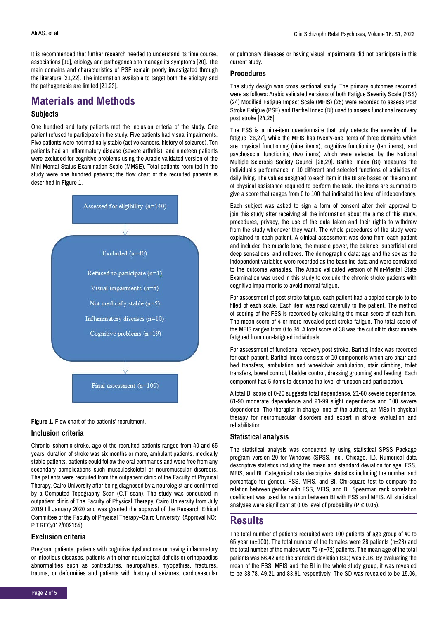It is recommended that further research needed to understand its time course, associations [19], etiology and pathogenesis to manage its symptoms [20]. The main domains and characteristics of PSF remain poorly investigated through the literature [21,22]. The information available to target both the etiology and the pathogenesis are limited [21,23].

## **Materials and Methods**

#### **Subjects**

One hundred and forty patients met the inclusion criteria of the study. One patient refused to participate in the study. Five patients had visual impairments. Five patients were not medically stable (active cancers, history of seizures). Ten patients had an inflammatory disease (severe arthritis), and nineteen patients were excluded for cognitive problems using the Arabic validated version of the Mini Mental Status Examination Scale (MMSE). Total patients recruited in the study were one hundred patients; the flow chart of the recruited patients is described in Figure 1.





#### **Inclusion criteria**

Chronic ischemic stroke, age of the recruited patients ranged from 40 and 65 years, duration of stroke was six months or more, ambulant patients, medically stable patients, patients could follow the oral commands and were free from any secondary complications such musculoskeletal or neuromuscular disorders. The patients were recruited from the outpatient clinic of the Faculty of Physical Therapy, Cairo University after being diagnosed by a neurologist and confirmed by a Computed Topography Scan (C.T scan). The study was conducted in outpatient clinic of The Faculty of Physical Therapy, Cairo University from July 2019 till January 2020 and was granted the approval of the Research Ethical Committee of the Faculty of Physical Therapy–Cairo University (Approval NO: P.T.REC/012/002154).

#### **Exclusion criteria**

Pregnant patients, patients with cognitive dysfunctions or having inflammatory or infectious diseases, patients with other neurological deficits or orthopaedics abnormalities such as contractures, neuropathies, myopathies, fractures, trauma, or deformities and patients with history of seizures, cardiovascular

#### **Procedures**

The study design was cross sectional study. The primary outcomes recorded were as follows: Arabic validated versions of both Fatigue Severity Scale (FSS) (24) Modified Fatigue Impact Scale (MFIS) (25) were recorded to assess Post Stroke Fatigue (PSF) and Barthel Index (BI) used to assess functional recovery post stroke [24,25].

The FSS is a nine-item questionnaire that only detects the severity of the fatigue [26,27], while the MFIS has twenty-one items of three domains which are physical functioning (nine items), cognitive functioning (ten items), and psychosocial functioning (two items) which were selected by the National Multiple Sclerosis Society Council [28,29]. Barthel Index (BI) measures the individual's performance in 10 different and selected functions of activities of daily living. The values assigned to each item in the BI are based on the amount of physical assistance required to perform the task. The items are summed to give a score that ranges from 0 to 100 that indicated the level of independency.

Each subject was asked to sign a form of consent after their approval to join this study after receiving all the information about the aims of this study, procedures, privacy, the use of the data taken and their rights to withdraw from the study whenever they want. The whole procedures of the study were explained to each patient. A clinical assessment was done from each patient and included the muscle tone, the muscle power, the balance, superficial and deep sensations, and reflexes. The demographic data: age and the sex as the independent variables were recorded as the baseline data and were correlated to the outcome variables. The Arabic validated version of Mini-Mental State Examination was used in this study to exclude the chronic stroke patients with cognitive impairments to avoid mental fatigue.

For assessment of post stroke fatigue, each patient had a copied sample to be filled of each scale. Each item was read carefully to the patient. The method of scoring of the FSS is recorded by calculating the mean score of each item. The mean score of 4 or more revealed post stroke fatigue. The total score of the MFIS ranges from 0 to 84. A total score of 38 was the cut off to discriminate fatigued from non-fatigued individuals.

For assessment of functional recovery post stroke, Barthel Index was recorded for each patient. Barthel Index consists of 10 components which are chair and bed transfers, ambulation and wheelchair ambulation, stair climbing, toilet transfers, bowel control, bladder control, dressing grooming and feeding. Each component has 5 items to describe the level of function and participation.

A total BI score of 0-20 suggests total dependence, 21-60 severe dependence, 61-90 moderate dependence and 91-99 slight dependence and 100 severe dependence. The therapist in charge, one of the authors, an MSc in physical therapy for neuromuscular disorders and expert in stroke evaluation and rehabilitation.

#### **Statistical analysis**

The statistical analysis was conducted by using statistical SPSS Package program version 20 for Windows (SPSS, Inc., Chicago, IL). Numerical data descriptive statistics including the mean and standard deviation for age, FSS, MFIS, and BI. Categorical data descriptive statistics including the number and percentage for gender, FSS, MFIS, and BI. Chi-square test to compare the relation between gender with FSS, MFIS, and BI. Spearman rank correlation coefficient was used for relation between BI with FSS and MFIS. All statistical analyses were significant at 0.05 level of probability ( $P \le 0.05$ ).

## **Results**

The total number of patients recruited were 100 patients of age group of 40 to 65 year (n=100). The total number of the females were 28 patients (n=28) and the total number of the males were 72 (n=72) patients. The mean age of the total patients was 56.42 and the standard deviation (SD) was 6.16. By evaluating the mean of the FSS, MFIS and the BI in the whole study group, it was revealed to be 38.78, 49.21 and 83.91 respectively. The SD was revealed to be 15.06,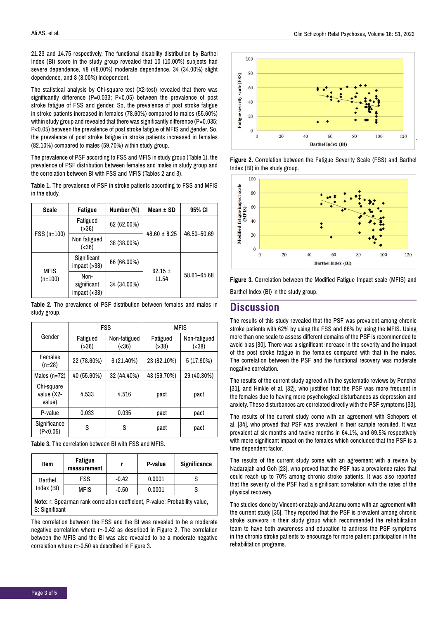21.23 and 14.75 respectively. The functional disability distribution by Barthel Index (BI) score in the study group revealed that 10 (10.00%) subjects had severe dependence, 48 (48.00%) moderate dependence, 34 (34.00%) slight dependence, and 8 (8.00%) independent.

The statistical analysis by Chi-square test (X2-test) revealed that there was significantly difference (P=0.033; P<0.05) between the prevalence of post stroke fatigue of FSS and gender. So, the prevalence of post stroke fatigue in stroke patients increased in females (78.60%) compared to males (55.60%) within study group and revealed that there was significantly difference (P=0.035; P<0.05) between the prevalence of post stroke fatigue of MFIS and gender. So, the prevalence of post stroke fatigue in stroke patients increased in females (82.10%) compared to males (59.70%) within study group.

The prevalence of PSF according to FSS and MFIS in study group (Table 1), the prevalence of PSF distribution between females and males in study group and the correlation between BI with FSS and MFIS (Tables 2 and 3).

**Table 1.** The prevalence of PSF in stroke patients according to FSS and MFIS in the study.

| Scale                    | Fatigue                                | Number (%)  | Mean $\pm$ SD        | 95% CI      |
|--------------------------|----------------------------------------|-------------|----------------------|-------------|
| $FSS(n=100)$             | Fatigued<br>( > 36)                    | 62 (62.00%) | $48.60 \pm 8.25$     | 46.50-50.69 |
|                          | Non fatigued<br>(36)                   | 38 (38.00%) |                      |             |
| <b>MFIS</b><br>$(n=100)$ | Significant<br>impact ( > 38)          | 66 (66.00%) |                      | 58.61-65.68 |
|                          | Non-<br>significant<br>$impact (<<38)$ | 34 (34.00%) | $62.15 \pm$<br>11.54 |             |

**Table 2.** The prevalence of PSF distribution between females and males in study group.

|                                    | <b>FSS</b>        |                        | <b>MFIS</b>         |                        |
|------------------------------------|-------------------|------------------------|---------------------|------------------------|
| Gender                             | Fatigued<br>(>36) | Non-fatigued<br>(< 36) | Fatigued<br>( > 38) | Non-fatigued<br>(< 38) |
| <b>Females</b><br>$(n=28)$         | 22 (78.60%)       | 6(21.40%)              | 23 (82.10%)         | 5 (17.90%)             |
| Males $(n=72)$                     | 40 (55.60%)       | 32 (44.40%)            | 43 (59.70%)         | 29 (40.30%)            |
| Chi-square<br>value (X2-<br>value) | 4.533             | 4.516                  | pact                | pact                   |
| P-value                            | 0.033             | 0.035                  | pact                | pact                   |
| Significance<br>(P<0.05)           | S                 | S                      | pact                | pact                   |

**Table 3.** The correlation between BI with FSS and MFIS.

| Item                                                                                          | Fatigue<br>measurement |         | P-value | Significance |  |  |
|-----------------------------------------------------------------------------------------------|------------------------|---------|---------|--------------|--|--|
| Barthel<br>Index (BI)                                                                         | FSS                    | $-0.42$ | 0.0001  |              |  |  |
|                                                                                               | <b>MFIS</b>            | $-0.50$ | 0.0001  | S            |  |  |
| Note: r: Spearman rank correlation coefficient, P-value: Probability value,<br>S: Significant |                        |         |         |              |  |  |

The correlation between the FSS and the BI was revealed to be a moderate negative correlation where r=-0.42 as described in Figure 2. The correlation between the MFIS and the BI was also revealed to be a moderate negative correlation where r=-0.50 as described in Figure 3.



**Figure 2.** Correlation between the Fatigue Severity Scale (FSS) and Barthel Index (BI) in the study group.



**Figure 3.** Correlation between the Modified Fatigue Impact scale (MFIS) and Barthel Index (BI) in the study group.

#### **Discussion**

The results of this study revealed that the PSF was prevalent among chronic stroke patients with 62% by using the FSS and 66% by using the MFIS. Using more than one scale to assess different domains of the PSF is recommended to avoid bias [30]. There was a significant increase in the severity and the impact of the post stroke fatigue in the females compared with that in the males. The correlation between the PSF and the functional recovery was moderate negative correlation.

The results of the current study agreed with the systematic reviews by Ponchel [31], and Hinkle et al. [32], who justified that the PSF was more frequent in the females due to having more psychological disturbances as depression and anxiety. These disturbances are correlated directly with the PSF symptoms [33].

The results of the current study come with an agreement with Schepers et al. [34], who proved that PSF was prevalent in their sample recruited. It was prevalent at six months and twelve months in 64.1%, and 69.5% respectively with more significant impact on the females which concluded that the PSF is a time dependent factor.

The results of the current study come with an agreement with a review by Nadarajah and Goh [23], who proved that the PSF has a prevalence rates that could reach up to 70% among chronic stroke patients. It was also reported that the severity of the PSF had a significant correlation with the rates of the physical recovery.

The studies done by Vincent-onabajo and Adamu come with an agreement with the current study [35]. They reported that the PSF is prevalent among chronic stroke survivors in their study group which recommended the rehabilitation team to have both awareness and education to address the PSF symptoms in the chronic stroke patients to encourage for more patient participation in the rehabilitation programs.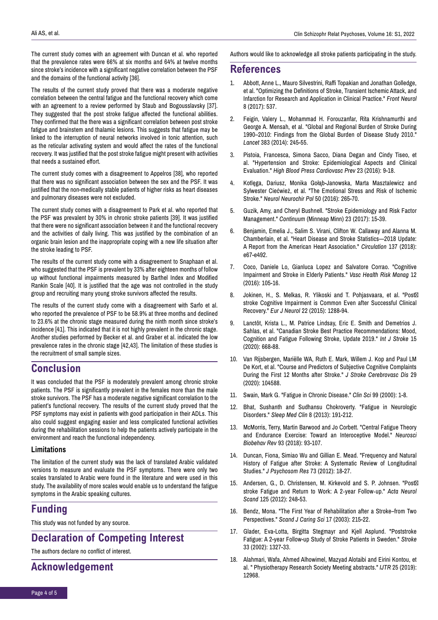The current study comes with an agreement with Duncan et al. who reported that the prevalence rates were 66% at six months and 64% at twelve months since stroke's incidence with a significant negative correlation between the PSF and the domains of the functional activity [36].

The results of the current study proved that there was a moderate negative correlation between the central fatigue and the functional recovery which come with an agreement to a review performed by Staub and Bogousslavsky [37]. They suggested that the post stroke fatigue affected the functional abilities. They confirmed that the there was a significant correlation between post stroke fatigue and brainstem and thalamic lesions. This suggests that fatigue may be linked to the interruption of neural networks involved in tonic attention, such as the reticular activating system and would affect the rates of the functional recovery. It was justified that the post stroke fatigue might present with activities that needs a sustained effort.

The current study comes with a disagreement to Appelros [38], who reported that there was no significant association between the sex and the PSF. It was justified that the non-medically stable patients of higher risks as heart diseases and pulmonary diseases were not excluded.

The current study comes with a disagreement to Park et al. who reported that the PSF was prevalent by 30% in chronic stroke patients [39]. It was justified that there were no significant association between it and the functional recovery and the activities of daily living. This was justified by the combination of an organic brain lesion and the inappropriate coping with a new life situation after the stroke leading to PSF.

The results of the current study come with a disagreement to Snaphaan et al. who suggested that the PSF is prevalent by 33% after eighteen months of follow up without functional impairments measured by Barthel Index and Modified Rankin Scale [40]. It is justified that the age was not controlled in the study group and recruiting many young stroke survivors affected the results.

The results of the current study come with a disagreement with Sarfo et al. who reported the prevalence of PSF to be 58.9% at three months and declined to 23.6% at the chronic stage measured during the ninth month since stroke's incidence [41]. This indicated that it is not highly prevalent in the chronic stage. Another studies performed by Becker et al. and Graber et al. indicated the low prevalence rates in the chronic stage [42,43]. The limitation of these studies is the recruitment of small sample sizes.

### **Conclusion**

It was concluded that the PSF is moderately prevalent among chronic stroke patients. The PSF is significantly prevalent in the females more than the male stroke survivors. The PSF has a moderate negative significant correlation to the patient's functional recovery. The results of the current study proved that the PSF symptoms may exist in patients with good participation in their ADLs. This also could suggest engaging easier and less complicated functional activities during the rehabilitation sessions to help the patients actively participate in the environment and reach the functional independency.

#### **Limitations**

The limitation of the current study was the lack of translated Arabic validated versions to measure and evaluate the PSF symptoms. There were only two scales translated to Arabic were found in the literature and were used in this study. The availability of more scales would enable us to understand the fatigue symptoms in the Arabic speaking cultures.

## **Funding**

This study was not funded by any source.

# **Declaration of Competing Interest**

The authors declare no conflict of interest.

## **Acknowledgement**

Authors would like to acknowledge all stroke patients participating in the study.

## **References**

- 1. Abbott, Anne L., Mauro Silvestrini, Raffi Topakian and Jonathan Golledge, et al. ["Optimizing the Definitions of Stroke, Transient Ischemic Attack, and](https://www.frontiersin.org/articles/10.3389/fneur.2017.00537/full)  [Infarction for Research and Application in Clinical Practice."](https://www.frontiersin.org/articles/10.3389/fneur.2017.00537/full) *Front Neurol*  8 (2017): 537.
- 2. Feigin, Valery L., Mohammad H. Forouzanfar, Rita Krishnamurthi and George A. Mensah, et al. ["Global and Regional Burden of Stroke During](https://www.thelancet.com/journals/lancet/article/PIIS0140-6736(13)61953-4/fulltext)  [1990–2010: Findings from the Global Burden of Disease Study 2010."](https://www.thelancet.com/journals/lancet/article/PIIS0140-6736(13)61953-4/fulltext)  *Lancet* 383 (2014): 245-55.
- 3. Pistoia, Francesca, Simona Sacco, Diana Degan and Cindy Tiseo, et al. ["Hypertension and Stroke: Epidemiological Aspects and Clinical](https://link.springer.com/article/10.1007/s40292-015-0115-2)  [Evaluation."](https://link.springer.com/article/10.1007/s40292-015-0115-2) *High Blood Press Cardiovasc Prev* 23 (2016): 9-18.
- 4. Kotlęga, Dariusz, Monika Gołąb-Janowska, Marta Masztalewicz and Sylwester Ciećwież, et al. ["The Emotional Stress and Risk of Ischemic](https://www.sciencedirect.com/science/article/abs/pii/S0028384316300020?via%3Dihub)  [Stroke."](https://www.sciencedirect.com/science/article/abs/pii/S0028384316300020?via%3Dihub) *Neurol Neurochir Pol* 50 (2016): 265-70.
- 5. Guzik, Amy, and Cheryl Bushnell. ["Stroke Epidemiology and Risk Factor](https://journals.lww.com/continuum/Abstract/2017/02000/Stroke_Epidemiology_and_Risk_Factor_Management.7.aspx)  [Management."](https://journals.lww.com/continuum/Abstract/2017/02000/Stroke_Epidemiology_and_Risk_Factor_Management.7.aspx) *Continuum* (Minneap Minn) 23 (2017): 15-39.
- 6. Benjamin, Emelia J., Salim S. Virani, Clifton W. Callaway and Alanna M. Chamberlain, et al[. "Heart Disease and Stroke Statistics—2018 Update:](https://www.ahajournals.org/doi/10.1161/CIR.0000000000000558)  [A Report from the American Heart Association."](https://www.ahajournals.org/doi/10.1161/CIR.0000000000000558) *Circulation* 137 (2018): e67-e492.
- 7. Coco, Daniele Lo, Gianluca Lopez and Salvatore Corrao. ["Cognitive](https://www.dovepress.com/cognitive-impairment-and-stroke-in-elderly-patients-peer-reviewed-fulltext-article-VHRM)  [Impairment and Stroke in Elderly Patients."](https://www.dovepress.com/cognitive-impairment-and-stroke-in-elderly-patients-peer-reviewed-fulltext-article-VHRM) *Vasc Health Risk Manag* 12 (2016): 105-16.
- 8. Jokinen, H., S. Melkas, R. Ylikoski and T. Pohjasvaara, et al. "Post [stroke Cognitive Impairment is Common Even after Successful Clinical](https://onlinelibrary.wiley.com/doi/10.1111/ene.12743)  [Recovery."](https://onlinelibrary.wiley.com/doi/10.1111/ene.12743) *Eur J Neurol* 22 (2015): 1288-94.
- 9. Lanctôt, Krista L., M. Patrice Lindsay, Eric E. Smith and Demetrios J. Sahlas, et al. ["Canadian Stroke Best Practice Recommendations: Mood,](https://journals.sagepub.com/doi/10.1177/1747493019847334)  [Cognition and Fatigue Following Stroke, Update 2019."](https://journals.sagepub.com/doi/10.1177/1747493019847334) *Int J Stroke* 15 (2020): 668-88.
- 10. Van Rijsbergen, Mariëlle WA, Ruth E. Mark, Willem J. Kop and Paul LM De Kort, et al. ["Course and Predictors of Subjective Cognitive Complaints](https://www.strokejournal.org/article/S1052-3057(19)30687-1/fulltext)  [During the First 12 Months after Stroke."](https://www.strokejournal.org/article/S1052-3057(19)30687-1/fulltext) *J Stroke Cerebrovasc Dis* 29 (2020): 104588.
- 11. Swain, Mark G. ["Fatigue in Chronic Disease."](https://portlandpress.com/clinsci/article-abstract/99/1/1/77980/Fatigue-in-chronic-disease) *Clin Sci* 99 (2000): 1-8.
- 12. Bhat, Sushanth and Sudhansu Chokroverty. ["Fatigue in Neurologic](https://www.sleep.theclinics.com/article/S1556-407X(13)00028-3/fulltext)  [Disorders."](https://www.sleep.theclinics.com/article/S1556-407X(13)00028-3/fulltext) *Sleep Med Clin* 8 (2013): 191-212.
- 13. McMorris, Terry, Martin Barwood and Jo Corbett. ["Central Fatigue Theory](https://www.sciencedirect.com/science/article/abs/pii/S0149763417308527?via%3Dihub)  [and Endurance Exercise: Toward an Interoceptive Model."](https://www.sciencedirect.com/science/article/abs/pii/S0149763417308527?via%3Dihub) *Neurosci Biobehav Rev* 93 (2018): 93-107.
- 14. Duncan, Fiona, Simiao Wu and Gillian E. Mead. ["Frequency and Natural](https://www.sciencedirect.com/science/article/abs/pii/S002239991200092X?via%3Dihub)  [History of Fatigue after Stroke: A Systematic Review of Longitudinal](https://www.sciencedirect.com/science/article/abs/pii/S002239991200092X?via%3Dihub)  [Studies."](https://www.sciencedirect.com/science/article/abs/pii/S002239991200092X?via%3Dihub) *J Psychosom Res* 73 (2012): 18-27.
- 15. Andersen, G., D. Christensen, M. Kirkevold and S. P. Johnsen. "Post [stroke Fatigue and Return to Work: A 2](https://onlinelibrary.wiley.com/doi/10.1111/j.1600-0404.2011.01557.x)‐year Follow‐up." *Acta Neurol Scand* 125 (2012): 248-53.
- 16. Bendz, Mona. ["The First Year of Rehabilitation after a Stroke–from Two](https://onlinelibrary.wiley.com/doi/abs/10.1046/j.1471-6712.2003.00217.x)  [Perspectives."](https://onlinelibrary.wiley.com/doi/abs/10.1046/j.1471-6712.2003.00217.x) *Scand J Caring Sci* 17 (2003): 215-22.
- 17. Glader, Eva-Lotta, Birgitta Stegmayr and Kjell Asplund. ["Poststroke](https://www.ahajournals.org/doi/10.1161/01.STR.0000014248.28711.D6)  [Fatigue: A 2-year Follow-up Study of Stroke Patients in Sweden."](https://www.ahajournals.org/doi/10.1161/01.STR.0000014248.28711.D6) *Stroke*  33 (2002): 1327-33.
- 18. Alahmari, Wafa, Ahmed Alhowimel, Mazyad Alotaibi and Eirini Kontou, et al. [" Physiotherapy Research Society Meeting abstracts."](https://www.magonlinelibrary.com/doi/abs/10.12968/ijtr.2018.25.4.177) *IJTR* 25 (2019): 12968.